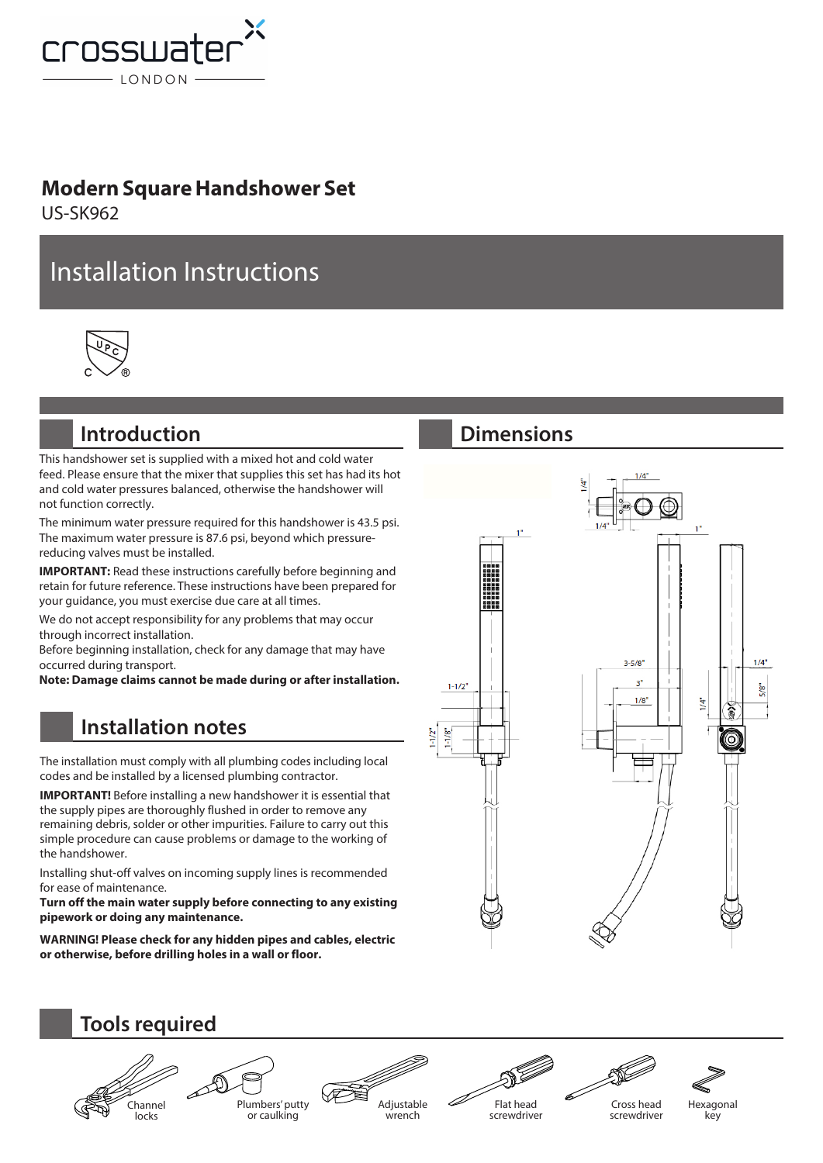

#### **Modern Square Handshower Set**

US-SK962

# Installation Instructions



### **Introduction**

This handshower set is supplied with a mixed hot and cold water feed. Please ensure that the mixer that supplies this set has had its hot and cold water pressures balanced, otherwise the handshower will not function correctly.

The minimum water pressure required for this handshower is 43.5 psi. The maximum water pressure is 87.6 psi, beyond which pressurereducing valves must be installed.

**IMPORTANT:** Read these instructions carefully before beginning and retain for future reference. These instructions have been prepared for your guidance, you must exercise due care at all times.

We do not accept responsibility for any problems that may occur through incorrect installation.

Before beginning installation, check for any damage that may have occurred during transport.

**Note: Damage claims cannot be made during or after installation.**

## **Installation notes**

The installation must comply with all plumbing codes including local codes and be installed by a licensed plumbing contractor.

**IMPORTANT!** Before installing a new handshower it is essential that the supply pipes are thoroughly flushed in order to remove any remaining debris, solder or other impurities. Failure to carry out this simple procedure can cause problems or damage to the working of the handshower.

Installing shut-off valves on incoming supply lines is recommended for ease of maintenance.

**Turn off the main water supply before connecting to any existing pipework or doing any maintenance.** 

**WARNING! Please check for any hidden pipes and cables, electric or otherwise, before drilling holes in a wall or floor.**

### **Dimensions**





screwdriver

Cross head

screwdriver



Hexagonal key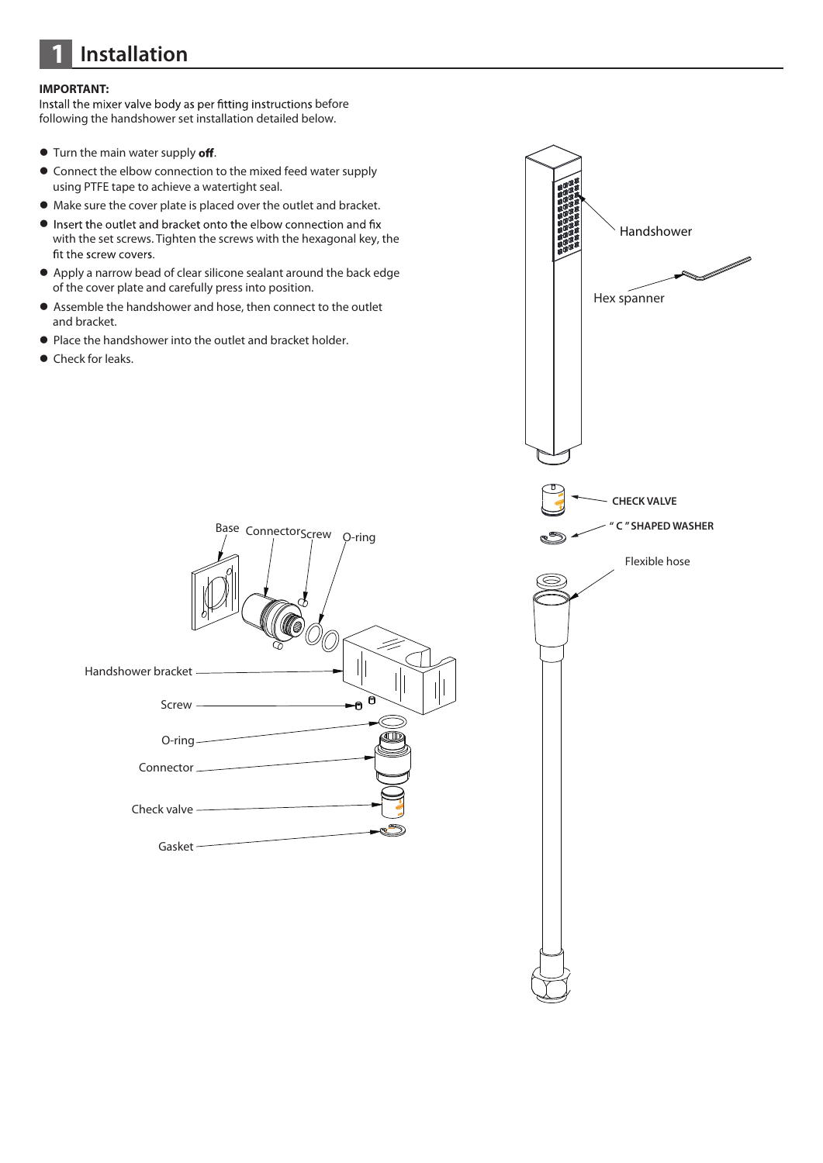## **1 Installation**

#### **IMPORTANT:**

Install the mixer valve body as per fitting instructions before following the handshower set installation detailed below.

- $\bullet$  Turn the main water supply off.
- Connect the elbow connection to the mixed feed water supply using PTFE tape to achieve a watertight seal.
- Make sure the cover plate is placed over the outlet and bracket.
- Insert the outlet and bracket onto the elbow connection and fix with the set screws. Tighten the screws with the hexagonal key, the fit the screw covers.
- Apply a narrow bead of clear silicone sealant around the back edge of the cover plate and carefully press into position.
- Assemble the handshower and hose, then connect to the outlet and bracket.
- Place the handshower into the outlet and bracket holder.
- Check for leaks.